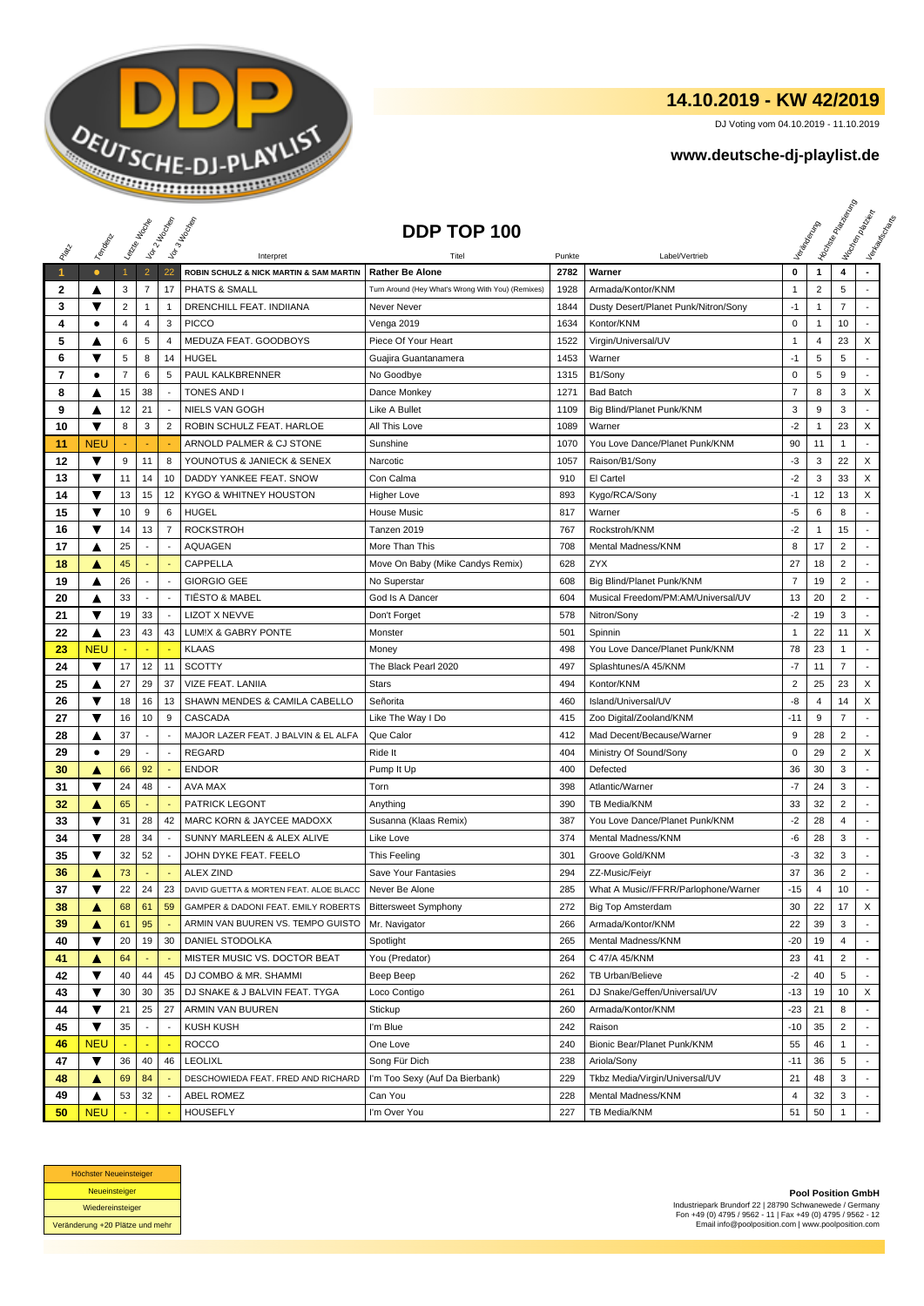

## **14.10.2019 - KW 42/2019**

DJ Voting vom 04.10.2019 - 11.10.2019

## **www.deutsche-dj-playlist.de**

|       |            | Leizie Hacop   |                | Voir 2 Moone             | Vor 3 Incolas                           | DDP TOP 100                                       |        |                                      |                |                | <b>Hookse</b><br>Marie Papel | Workenberg<br>Verkaufschaft |
|-------|------------|----------------|----------------|--------------------------|-----------------------------------------|---------------------------------------------------|--------|--------------------------------------|----------------|----------------|------------------------------|-----------------------------|
|       | Temporal   |                |                |                          |                                         |                                                   |        |                                      |                |                |                              |                             |
| RIVER |            |                |                |                          | Interpret                               | Titel                                             | Punkte | Label/Vertrieb                       |                |                |                              |                             |
| 1     | $\bullet$  | $\mathbf{1}$   | $\overline{2}$ | 22                       | ROBIN SCHULZ & NICK MARTIN & SAM MARTIN | <b>Rather Be Alone</b>                            | 2782   | Warner                               | 0              | $\mathbf{1}$   | 4                            |                             |
| 2     | ▲          | 3              | 7              | 17                       | PHATS & SMALL                           | Turn Around (Hey What's Wrong With You) (Remixes) | 1928   | Armada/Kontor/KNM                    | $\mathbf{1}$   | $\overline{2}$ | 5                            |                             |
| 3     | ▼          | 2              | $\mathbf{1}$   | $\mathbf{1}$             | DRENCHILL FEAT. INDIIANA                | Never Never                                       | 1844   | Dusty Desert/Planet Punk/Nitron/Sony | $-1$           | $\mathbf{1}$   | $\overline{7}$               |                             |
| 4     | ٠          | 4              | $\overline{4}$ | 3                        | <b>PICCO</b>                            | Venga 2019                                        | 1634   | Kontor/KNM                           | $\pmb{0}$      | 1              | 10                           |                             |
| 5     | A          | 6              | 5              | 4                        | MEDUZA FEAT. GOODBOYS                   | Piece Of Your Heart                               | 1522   | Virgin/Universal/UV                  | 1              | $\overline{4}$ | 23                           | X                           |
| 6     | ▼          | 5              | 8              | 14                       | <b>HUGEL</b>                            | Guajira Guantanamera                              | 1453   | Warner                               | $-1$           | 5              | 5                            |                             |
| 7     | $\bullet$  | $\overline{7}$ | 6              | $\sqrt{5}$               | PAUL KALKBRENNER                        | No Goodbye                                        | 1315   | B1/Sony                              | $\pmb{0}$      | 5              | 9                            |                             |
| 8     | ▲          | 15             | 38             | $\sim$                   | <b>TONES AND I</b>                      | Dance Monkey                                      | 1271   | <b>Bad Batch</b>                     | $\overline{7}$ | 8              | 3                            | X                           |
| 9     | ▲          | 12             | 21             |                          | <b>NIELS VAN GOGH</b>                   | Like A Bullet                                     | 1109   | Big Blind/Planet Punk/KNM            | 3              | 9              | 3                            |                             |
| 10    | ▼          | 8              | 3              | $\overline{2}$           | ROBIN SCHULZ FEAT. HARLOE               | All This Love                                     | 1089   | Warner                               | $-2$           | 1              | 23                           | X                           |
| 11    | <b>NEU</b> |                |                |                          | ARNOLD PALMER & CJ STONE                | Sunshine                                          | 1070   | You Love Dance/Planet Punk/KNM       | 90             | 11             | 1                            | $\blacksquare$              |
| 12    | ▼          | 9              | 11             | 8                        | YOUNOTUS & JANIECK & SENEX              | Narcotic                                          | 1057   | Raison/B1/Sony                       | $-3$           | 3              | 22                           | X                           |
| 13    | ▼          | 11             | 14             | 10                       | DADDY YANKEE FEAT. SNOW                 | Con Calma                                         | 910    | El Cartel                            | $-2$           | 3              | 33                           | X                           |
| 14    | ▼          | 13             | 15             | 12                       | KYGO & WHITNEY HOUSTON                  | <b>Higher Love</b>                                | 893    | Kygo/RCA/Sony                        | $-1$           | 12             | 13                           | X                           |
| 15    | ▼          | 10             | 9              | 6                        | <b>HUGEL</b>                            | <b>House Music</b>                                | 817    | Warner                               | $-5$           | 6              | 8                            |                             |
| 16    | ▼          | 14             | 13             | $\overline{7}$           | <b>ROCKSTROH</b>                        | Tanzen 2019                                       | 767    | Rockstroh/KNM                        | -2             | 1              | 15                           |                             |
| 17    | ▲          | 25             |                | $\overline{\phantom{a}}$ | <b>AQUAGEN</b>                          | More Than This                                    | 708    | <b>Mental Madness/KNM</b>            | 8              | 17             | 2                            |                             |
| 18    | ▲          | 45             |                |                          | <b>CAPPELLA</b>                         | Move On Baby (Mike Candys Remix)                  | 628    | <b>ZYX</b>                           | 27             | 18             | $\overline{2}$               |                             |
| 19    | ▲          | 26             |                | $\overline{\phantom{a}}$ | <b>GIORGIO GEE</b>                      | No Superstar                                      | 608    | Big Blind/Planet Punk/KNM            | 7              | 19             | $\overline{2}$               |                             |
| 20    | ▲          | 33             |                | $\sim$                   | <b>TIËSTO &amp; MABEL</b>               | God Is A Dancer                                   | 604    | Musical Freedom/PM:AM/Universal/UV   | 13             | 20             | $\overline{2}$               | $\mathcal{L}$               |
| 21    | ▼          | 19             | 33             | $\blacksquare$           | <b>LIZOT X NEVVE</b>                    | Don't Forget                                      | 578    | Nitron/Sony                          | $-2$           | 19             | 3                            | $\sim$                      |
| 22    | ▲          | 23             | 43             | 43                       | LUM!X & GABRY PONTE                     | Monster                                           | 501    | Spinnin                              | $\mathbf{1}$   | 22             | 11                           | X                           |
| 23    | <b>NEU</b> |                |                |                          | <b>KLAAS</b>                            | Money                                             | 498    | You Love Dance/Planet Punk/KNM       | 78             | 23             | $\mathbf{1}$                 |                             |
| 24    | ▼          | 17             | 12             | 11                       | <b>SCOTTY</b>                           | The Black Pearl 2020                              | 497    | Splashtunes/A 45/KNM                 | $-7$           | 11             | $\overline{7}$               | $\sim$                      |
| 25    | ▲          | 27             | 29             | 37                       | VIZE FEAT. LANIIA                       | <b>Stars</b>                                      | 494    | Kontor/KNM                           | $\overline{2}$ | 25             | 23                           | X                           |
| 26    | ▼          | 18             | 16             | 13                       | SHAWN MENDES & CAMILA CABELLO           | Señorita                                          | 460    | Island/Universal/UV                  | -8             | 4              | 14                           | X                           |
| 27    | ▼          | 16             | 10             | 9                        | CASCADA                                 | Like The Way I Do                                 | 415    | Zoo Digital/Zooland/KNM              | $-11$          | 9              | $\overline{7}$               | $\blacksquare$              |
| 28    | ▲          | 37             |                |                          | MAJOR LAZER FEAT. J BALVIN & EL ALFA    | Que Calor                                         | 412    | Mad Decent/Because/Warner            | 9              | 28             | $\overline{2}$               | $\blacksquare$              |
| 29    | $\bullet$  | 29             |                | $\overline{\phantom{a}}$ | <b>REGARD</b>                           | Ride It                                           | 404    | Ministry Of Sound/Sony               | 0              | 29             | $\overline{2}$               | X                           |
| 30    | Δ          | 66             | 92             |                          | <b>ENDOR</b>                            | Pump It Up                                        | 400    | Defected                             | 36             | 30             | 3                            | $\overline{a}$              |
| 31    | ▼          | 24             | 48             |                          | AVA MAX                                 | Torn                                              | 398    | Atlantic/Warner                      | -7             | 24             | 3                            |                             |
| 32    | A          | 65             |                |                          | <b>PATRICK LEGONT</b>                   | Anything                                          | 390    | TB Media/KNM                         | 33             | 32             | $\overline{2}$               | $\sim$                      |
| 33    | ▼          | 31             | 28             | 42                       | MARC KORN & JAYCEE MADOXX               | Susanna (Klaas Remix)                             | 387    | You Love Dance/Planet Punk/KNM       | $-2$           | 28             | 4                            | ÷                           |
| 34    | ▼          | 28             | 34             | $\sim$                   | SUNNY MARLEEN & ALEX ALIVE              | Like Love                                         | 374    | <b>Mental Madness/KNM</b>            | -6             | 28             | 3                            | $\overline{\phantom{a}}$    |
| 35    | ▼          | 32             | 52             | $\overline{\phantom{a}}$ | JOHN DYKE FEAT. FEELO                   | This Feeling                                      | 301    | Groove Gold/KNM                      | $-3$           | 32             | 3                            |                             |
| 36    | ▲          | 73             |                |                          | <b>ALEX ZIND</b>                        | Save Your Fantasies                               | 294    | ZZ-Music/Feiyr                       | 37             | 36             | $\overline{2}$               |                             |
| 37    | ▼          | 22             | 24             | 23                       | DAVID GUETTA & MORTEN FEAT. ALOE BLACC  | Never Be Alone                                    | 285    | What A Music//FFRR/Parlophone/Warner | $-15$          | $\overline{4}$ | 10                           | ÷                           |
| 38    | ▲          | 68             | 61             | 59                       | GAMPER & DADONI FEAT. EMILY ROBERTS     | <b>Bittersweet Symphony</b>                       | 272    | <b>Big Top Amsterdam</b>             | 30             | 22             | 17                           | X                           |
| 39    | A          | 61             | 95             |                          | ARMIN VAN BUUREN VS. TEMPO GUISTO       | Mr. Navigator                                     | 266    | Armada/Kontor/KNM                    | 22             | 39             | 3                            |                             |
| 40    | ▼          | 20             | 19             | 30                       | DANIEL STODOLKA                         | Spotlight                                         | 265    | Mental Madness/KNM                   | $-20$          | 19             | 4                            |                             |
| 41    | ▲          | 64             |                |                          | MISTER MUSIC VS. DOCTOR BEAT            | You (Predator)                                    | 264    | C 47/A 45/KNM                        | 23             | 41             | $\overline{2}$               |                             |
| 42    | ▼          | 40             | 44             | 45                       | DJ COMBO & MR. SHAMMI                   | Beep Beep                                         | 262    | <b>TB Urban/Believe</b>              | $-2$           | 40             | 5                            |                             |
| 43    | ▼          | 30             | 30             | 35                       | DJ SNAKE & J BALVIN FEAT. TYGA          | Loco Contigo                                      | 261    | DJ Snake/Geffen/Universal/UV         | -13            | 19             | 10                           | X                           |
| 44    | ▼          | 21             | 25             | 27                       | ARMIN VAN BUUREN                        | Stickup                                           | 260    | Armada/Kontor/KNM                    | $-23$          | 21             | 8                            |                             |
| 45    | ▼          | 35             |                | $\overline{\phantom{a}}$ | <b>KUSH KUSH</b>                        | I'm Blue                                          | 242    | Raison                               | $-10$          | 35             | $\overline{c}$               |                             |
| 46    | <b>NEU</b> |                | ä,             |                          | <b>ROCCO</b>                            | One Love                                          | 240    | Bionic Bear/Planet Punk/KNM          | 55             | 46             | $\mathbf{1}$                 | $\blacksquare$              |
| 47    | ▼          | 36             | 40             | 46                       | <b>LEOLIXL</b>                          | Song Für Dich                                     | 238    | Ariola/Sony                          | $-11$          | 36             | 5                            |                             |
| 48    | ▲          | 69             | 84             |                          | DESCHOWIEDA FEAT. FRED AND RICHARD      | I'm Too Sexy (Auf Da Bierbank)                    | 229    | Tkbz Media/Virgin/Universal/UV       | 21             | 48             | 3                            |                             |
| 49    | ▲          | 53             | 32             |                          | ABEL ROMEZ                              | Can You                                           | 228    | Mental Madness/KNM                   | 4              | 32             | 3                            |                             |
| 50    | <b>NEU</b> |                |                |                          | <b>HOUSEFLY</b>                         | I'm Over You                                      | 227    | TB Media/KNM                         | 51             | 50             | $\mathbf{1}$                 |                             |



**Pool Position GmbH** Industriepark Brundorf 22 | 28790 Schwanewede / Germany Fon +49 (0) 4795 / 9562 - 11 | Fax +49 (0) 4795 / 9562 - 12 Email info@poolposition.com | www.poolposition.com